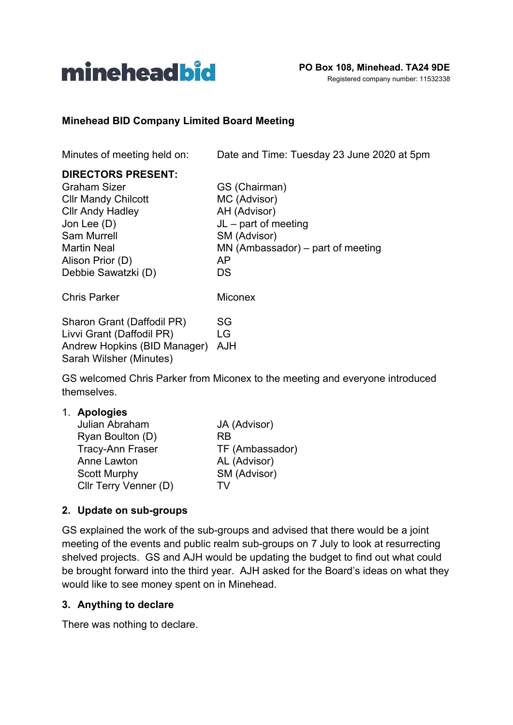

#### **Minehead BID Company Limited Board Meeting**

Minutes of meeting held on: Date and Time: Tuesday 23 June 2020 at 5pm

#### **DIRECTORS PRESENT:**

| <b>Graham Sizer</b>          | GS (Chairman)                       |
|------------------------------|-------------------------------------|
| <b>CIIr Mandy Chilcott</b>   | MC (Advisor)                        |
| <b>Cllr Andy Hadley</b>      | AH (Advisor)                        |
| Jon Lee (D)                  | $JL$ – part of meeting              |
| Sam Murrell                  | SM (Advisor)                        |
| Martin Neal                  | $MN$ (Ambassador) – part of meeting |
| Alison Prior (D)             | AP                                  |
| Debbie Sawatzki (D)          | DS                                  |
| <b>Chris Parker</b>          | Miconex                             |
| Sharon Grant (Daffodil PR)   | SG                                  |
| Livvi Grant (Daffodil PR)    | LG                                  |
| Andrew Hopkins (BID Manager) | AJH                                 |
| Sarah Wilsher (Minutes)      |                                     |

GS welcomed Chris Parker from Miconex to the meeting and everyone introduced themselves.

#### 1. **Apologies**

| Julian Abraham          | JA (Advisor)    |
|-------------------------|-----------------|
| Ryan Boulton (D)        | <b>RB</b>       |
| <b>Tracy-Ann Fraser</b> | TF (Ambassador) |
| Anne Lawton             | AL (Advisor)    |
| <b>Scott Murphy</b>     | SM (Advisor)    |
| Cllr Terry Venner (D)   | TV              |

#### **2. Update on sub-groups**

GS explained the work of the sub-groups and advised that there would be a joint meeting of the events and public realm sub-groups on 7 July to look at resurrecting shelved projects. GS and AJH would be updating the budget to find out what could be brought forward into the third year. AJH asked for the Board's ideas on what they would like to see money spent on in Minehead.

#### **3. Anything to declare**

There was nothing to declare.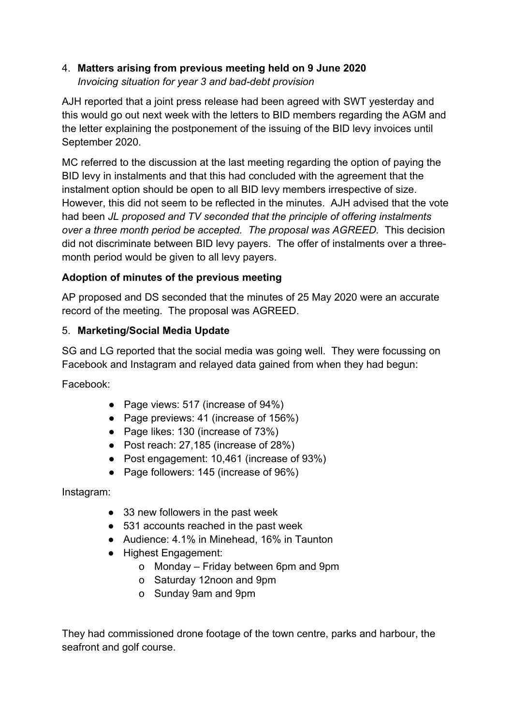# 4. **Matters arising from previous meeting held on 9 June 2020** *Invoicing situation for year 3 and bad-debt provision*

AJH reported that a joint press release had been agreed with SWT yesterday and this would go out next week with the letters to BID members regarding the AGM and the letter explaining the postponement of the issuing of the BID levy invoices until September 2020.

MC referred to the discussion at the last meeting regarding the option of paying the BID levy in instalments and that this had concluded with the agreement that the instalment option should be open to all BID levy members irrespective of size. However, this did not seem to be reflected in the minutes. AJH advised that the vote had been *JL proposed and TV seconded that the principle of offering instalments over a three month period be accepted. The proposal was AGREED.* This decision did not discriminate between BID levy payers. The offer of instalments over a threemonth period would be given to all levy payers.

## **Adoption of minutes of the previous meeting**

AP proposed and DS seconded that the minutes of 25 May 2020 were an accurate record of the meeting. The proposal was AGREED.

## 5. **Marketing/Social Media Update**

SG and LG reported that the social media was going well. They were focussing on Facebook and Instagram and relayed data gained from when they had begun:

Facebook:

- Page views: 517 (increase of 94%)
- Page previews: 41 (increase of 156%)
- Page likes: 130 (increase of 73%)
- Post reach: 27,185 (increase of 28%)
- Post engagement: 10,461 (increase of 93%)
- Page followers: 145 (increase of 96%)

Instagram:

- 33 new followers in the past week
- 531 accounts reached in the past week
- Audience: 4.1% in Minehead, 16% in Taunton
- Highest Engagement:
	- o Monday Friday between 6pm and 9pm
	- o Saturday 12noon and 9pm
	- o Sunday 9am and 9pm

They had commissioned drone footage of the town centre, parks and harbour, the seafront and golf course.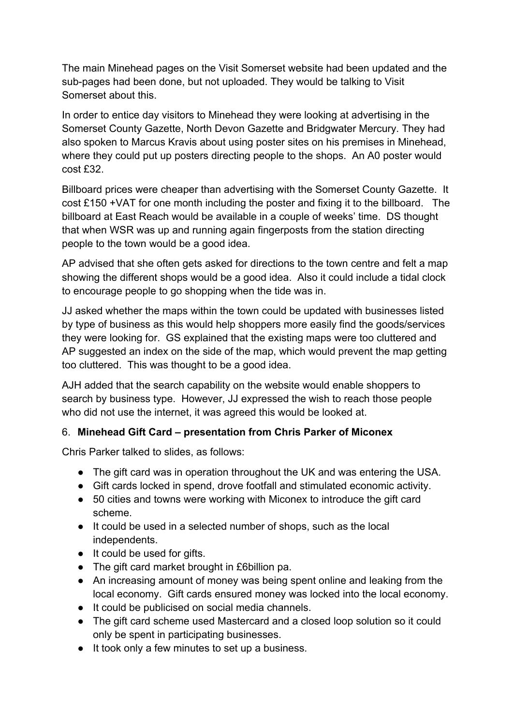The main Minehead pages on the Visit Somerset website had been updated and the sub-pages had been done, but not uploaded. They would be talking to Visit Somerset about this.

In order to entice day visitors to Minehead they were looking at advertising in the Somerset County Gazette, North Devon Gazette and Bridgwater Mercury. They had also spoken to Marcus Kravis about using poster sites on his premises in Minehead, where they could put up posters directing people to the shops. An A0 poster would cost £32.

Billboard prices were cheaper than advertising with the Somerset County Gazette. It cost £150 +VAT for one month including the poster and fixing it to the billboard. The billboard at East Reach would be available in a couple of weeks' time. DS thought that when WSR was up and running again fingerposts from the station directing people to the town would be a good idea.

AP advised that she often gets asked for directions to the town centre and felt a map showing the different shops would be a good idea. Also it could include a tidal clock to encourage people to go shopping when the tide was in.

JJ asked whether the maps within the town could be updated with businesses listed by type of business as this would help shoppers more easily find the goods/services they were looking for. GS explained that the existing maps were too cluttered and AP suggested an index on the side of the map, which would prevent the map getting too cluttered. This was thought to be a good idea.

AJH added that the search capability on the website would enable shoppers to search by business type. However, JJ expressed the wish to reach those people who did not use the internet, it was agreed this would be looked at.

## 6. **Minehead Gift Card – presentation from Chris Parker of Miconex**

Chris Parker talked to slides, as follows:

- The gift card was in operation throughout the UK and was entering the USA.
- Gift cards locked in spend, drove footfall and stimulated economic activity.
- 50 cities and towns were working with Miconex to introduce the gift card scheme.
- It could be used in a selected number of shops, such as the local independents.
- It could be used for gifts.
- The gift card market brought in £6billion pa.
- An increasing amount of money was being spent online and leaking from the local economy. Gift cards ensured money was locked into the local economy.
- It could be publicised on social media channels.
- The gift card scheme used Mastercard and a closed loop solution so it could only be spent in participating businesses.
- It took only a few minutes to set up a business.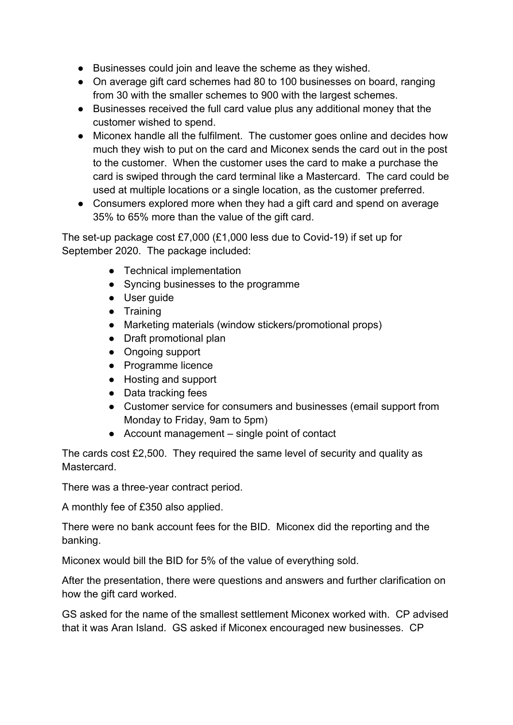- Businesses could join and leave the scheme as they wished.
- On average gift card schemes had 80 to 100 businesses on board, ranging from 30 with the smaller schemes to 900 with the largest schemes.
- Businesses received the full card value plus any additional money that the customer wished to spend.
- Miconex handle all the fulfilment. The customer goes online and decides how much they wish to put on the card and Miconex sends the card out in the post to the customer. When the customer uses the card to make a purchase the card is swiped through the card terminal like a Mastercard. The card could be used at multiple locations or a single location, as the customer preferred.
- Consumers explored more when they had a gift card and spend on average 35% to 65% more than the value of the gift card.

The set-up package cost £7,000 (£1,000 less due to Covid-19) if set up for September 2020. The package included:

- Technical implementation
- Syncing businesses to the programme
- User guide
- Training
- Marketing materials (window stickers/promotional props)
- Draft promotional plan
- Ongoing support
- Programme licence
- Hosting and support
- Data tracking fees
- Customer service for consumers and businesses (email support from Monday to Friday, 9am to 5pm)
- Account management single point of contact

The cards cost £2,500. They required the same level of security and quality as Mastercard.

There was a three-year contract period.

A monthly fee of £350 also applied.

There were no bank account fees for the BID. Miconex did the reporting and the banking.

Miconex would bill the BID for 5% of the value of everything sold.

After the presentation, there were questions and answers and further clarification on how the gift card worked.

GS asked for the name of the smallest settlement Miconex worked with. CP advised that it was Aran Island. GS asked if Miconex encouraged new businesses. CP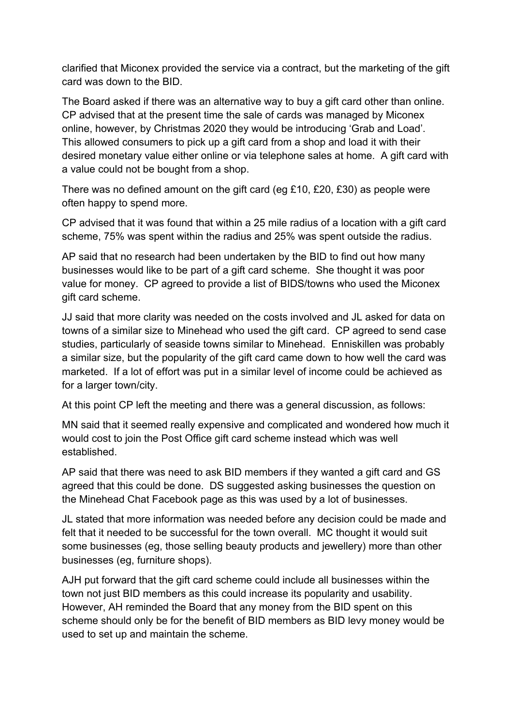clarified that Miconex provided the service via a contract, but the marketing of the gift card was down to the BID.

The Board asked if there was an alternative way to buy a gift card other than online. CP advised that at the present time the sale of cards was managed by Miconex online, however, by Christmas 2020 they would be introducing 'Grab and Load'. This allowed consumers to pick up a gift card from a shop and load it with their desired monetary value either online or via telephone sales at home. A gift card with a value could not be bought from a shop.

There was no defined amount on the gift card (eg £10, £20, £30) as people were often happy to spend more.

CP advised that it was found that within a 25 mile radius of a location with a gift card scheme, 75% was spent within the radius and 25% was spent outside the radius.

AP said that no research had been undertaken by the BID to find out how many businesses would like to be part of a gift card scheme. She thought it was poor value for money. CP agreed to provide a list of BIDS/towns who used the Miconex gift card scheme.

JJ said that more clarity was needed on the costs involved and JL asked for data on towns of a similar size to Minehead who used the gift card. CP agreed to send case studies, particularly of seaside towns similar to Minehead. Enniskillen was probably a similar size, but the popularity of the gift card came down to how well the card was marketed. If a lot of effort was put in a similar level of income could be achieved as for a larger town/city.

At this point CP left the meeting and there was a general discussion, as follows:

MN said that it seemed really expensive and complicated and wondered how much it would cost to join the Post Office gift card scheme instead which was well established.

AP said that there was need to ask BID members if they wanted a gift card and GS agreed that this could be done. DS suggested asking businesses the question on the Minehead Chat Facebook page as this was used by a lot of businesses.

JL stated that more information was needed before any decision could be made and felt that it needed to be successful for the town overall. MC thought it would suit some businesses (eg, those selling beauty products and jewellery) more than other businesses (eg, furniture shops).

AJH put forward that the gift card scheme could include all businesses within the town not just BID members as this could increase its popularity and usability. However, AH reminded the Board that any money from the BID spent on this scheme should only be for the benefit of BID members as BID levy money would be used to set up and maintain the scheme.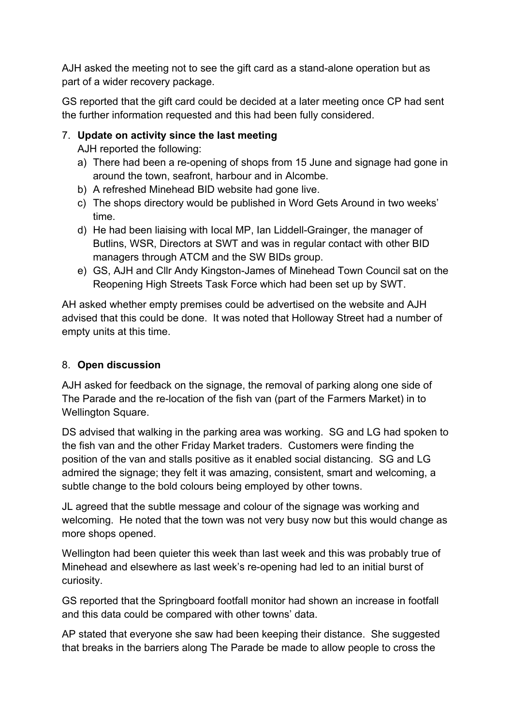AJH asked the meeting not to see the gift card as a stand-alone operation but as part of a wider recovery package.

GS reported that the gift card could be decided at a later meeting once CP had sent the further information requested and this had been fully considered.

## 7. **Update on activity since the last meeting**

AJH reported the following:

- a) There had been a re-opening of shops from 15 June and signage had gone in around the town, seafront, harbour and in Alcombe.
- b) A refreshed Minehead BID website had gone live.
- c) The shops directory would be published in Word Gets Around in two weeks' time.
- d) He had been liaising with Iocal MP, Ian Liddell-Grainger, the manager of Butlins, WSR, Directors at SWT and was in regular contact with other BID managers through ATCM and the SW BIDs group.
- e) GS, AJH and Cllr Andy Kingston-James of Minehead Town Council sat on the Reopening High Streets Task Force which had been set up by SWT.

AH asked whether empty premises could be advertised on the website and AJH advised that this could be done. It was noted that Holloway Street had a number of empty units at this time.

### 8. **Open discussion**

AJH asked for feedback on the signage, the removal of parking along one side of The Parade and the re-location of the fish van (part of the Farmers Market) in to Wellington Square.

DS advised that walking in the parking area was working. SG and LG had spoken to the fish van and the other Friday Market traders. Customers were finding the position of the van and stalls positive as it enabled social distancing. SG and LG admired the signage; they felt it was amazing, consistent, smart and welcoming, a subtle change to the bold colours being employed by other towns.

JL agreed that the subtle message and colour of the signage was working and welcoming. He noted that the town was not very busy now but this would change as more shops opened.

Wellington had been quieter this week than last week and this was probably true of Minehead and elsewhere as last week's re-opening had led to an initial burst of curiosity.

GS reported that the Springboard footfall monitor had shown an increase in footfall and this data could be compared with other towns' data.

AP stated that everyone she saw had been keeping their distance. She suggested that breaks in the barriers along The Parade be made to allow people to cross the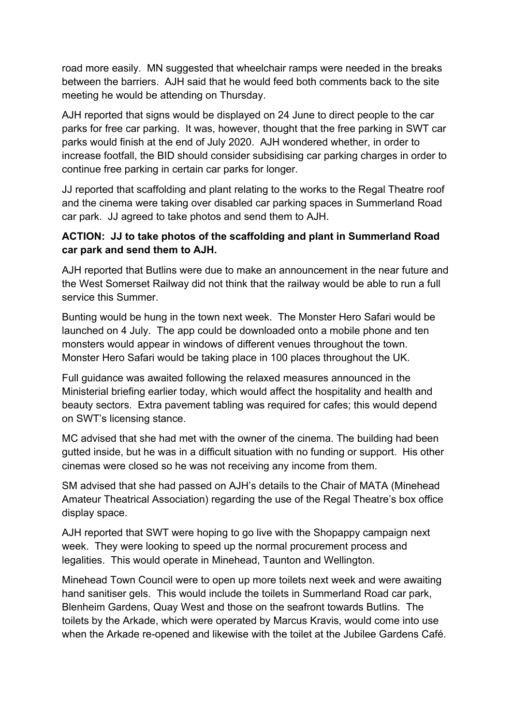road more easily. MN suggested that wheelchair ramps were needed in the breaks between the barriers. AJH said that he would feed both comments back to the site meeting he would be attending on Thursday.

AJH reported that signs would be displayed on 24 June to direct people to the car parks for free car parking. It was, however, thought that the free parking in SWT car parks would finish at the end of July 2020. AJH wondered whether, in order to increase footfall, the BID should consider subsidising car parking charges in order to continue free parking in certain car parks for longer.

JJ reported that scaffolding and plant relating to the works to the Regal Theatre roof and the cinema were taking over disabled car parking spaces in Summerland Road car park. JJ agreed to take photos and send them to AJH.

## **ACTION: JJ to take photos of the scaffolding and plant in Summerland Road car park and send them to AJH.**

AJH reported that Butlins were due to make an announcement in the near future and the West Somerset Railway did not think that the railway would be able to run a full service this Summer.

Bunting would be hung in the town next week. The Monster Hero Safari would be launched on 4 July. The app could be downloaded onto a mobile phone and ten monsters would appear in windows of different venues throughout the town. Monster Hero Safari would be taking place in 100 places throughout the UK.

Full guidance was awaited following the relaxed measures announced in the Ministerial briefing earlier today, which would affect the hospitality and health and beauty sectors. Extra pavement tabling was required for cafes; this would depend on SWT's licensing stance.

MC advised that she had met with the owner of the cinema. The building had been gutted inside, but he was in a difficult situation with no funding or support. His other cinemas were closed so he was not receiving any income from them.

SM advised that she had passed on AJH's details to the Chair of MATA (Minehead Amateur Theatrical Association) regarding the use of the Regal Theatre's box office display space.

AJH reported that SWT were hoping to go live with the Shopappy campaign next week. They were looking to speed up the normal procurement process and legalities. This would operate in Minehead, Taunton and Wellington.

Minehead Town Council were to open up more toilets next week and were awaiting hand sanitiser gels. This would include the toilets in Summerland Road car park, Blenheim Gardens, Quay West and those on the seafront towards Butlins. The toilets by the Arkade, which were operated by Marcus Kravis, would come into use when the Arkade re-opened and likewise with the toilet at the Jubilee Gardens Café.